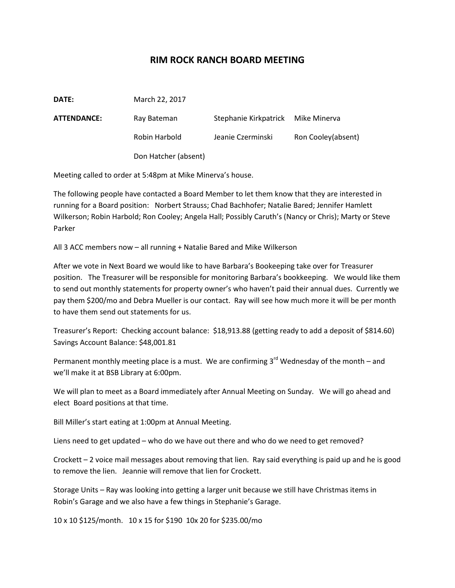## **RIM ROCK RANCH BOARD MEETING**

| DATE:              | March 22, 2017       |                       |                    |
|--------------------|----------------------|-----------------------|--------------------|
| <b>ATTENDANCE:</b> | Ray Bateman          | Stephanie Kirkpatrick | Mike Minerva       |
|                    | Robin Harbold        | Jeanie Czerminski     | Ron Cooley(absent) |
|                    | Don Hatcher (absent) |                       |                    |

Meeting called to order at 5:48pm at Mike Minerva's house.

The following people have contacted a Board Member to let them know that they are interested in running for a Board position: Norbert Strauss; Chad Bachhofer; Natalie Bared; Jennifer Hamlett Wilkerson; Robin Harbold; Ron Cooley; Angela Hall; Possibly Caruth's (Nancy or Chris); Marty or Steve Parker

All 3 ACC members now – all running + Natalie Bared and Mike Wilkerson

After we vote in Next Board we would like to have Barbara's Bookeeping take over for Treasurer position. The Treasurer will be responsible for monitoring Barbara's bookkeeping. We would like them to send out monthly statements for property owner's who haven't paid their annual dues. Currently we pay them \$200/mo and Debra Mueller is our contact. Ray will see how much more it will be per month to have them send out statements for us.

Treasurer's Report: Checking account balance: \$18,913.88 (getting ready to add a deposit of \$814.60) Savings Account Balance: \$48,001.81

Permanent monthly meeting place is a must. We are confirming 3<sup>rd</sup> Wednesday of the month – and we'll make it at BSB Library at 6:00pm.

We will plan to meet as a Board immediately after Annual Meeting on Sunday. We will go ahead and elect Board positions at that time.

Bill Miller's start eating at 1:00pm at Annual Meeting.

Liens need to get updated – who do we have out there and who do we need to get removed?

Crockett – 2 voice mail messages about removing that lien. Ray said everything is paid up and he is good to remove the lien. Jeannie will remove that lien for Crockett.

Storage Units – Ray was looking into getting a larger unit because we still have Christmas items in Robin's Garage and we also have a few things in Stephanie's Garage.

10 x 10 \$125/month. 10 x 15 for \$190 10x 20 for \$235.00/mo